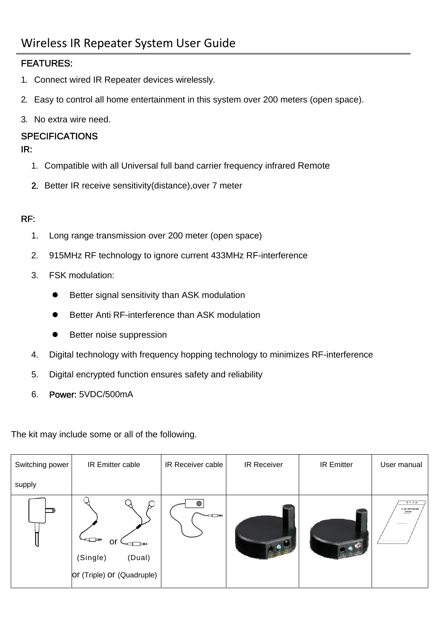## FEATURES:

- 1. Connect wired IR Repeater devices wirelessly.
- 2. Easy to control all home entertainment in this system over 200 meters (open space).
- 3. No extra wire need.

### **SPECIFICATIONS**

#### IR:

- 1. Compatible with all Universal full band carrier frequency infrared Remote
- 2. Better IR receive sensitivity(distance),over 7 meter

### RF:

- 1. Long range transmission over 200 meter (open space)
- 2. 915MHz RF technology to ignore current 433MHz RF-interference
- 3. FSK modulation:
	- Better signal sensitivity than ASK modulation
	- **•** Better Anti RF-interference than ASK modulation
	- **•** Better noise suppression
- 4. Digital technology with frequency hopping technology to minimizes RF-interference
- 5. Digital encrypted function ensures safety and reliability
- 6. Power: 5VDC/500mA

The kit may include some or all of the following.

| Switching power | IR Emitter cable                                             | IR Receiver cable | IR Receiver | <b>IR Emitter</b> | User manual                                                      |
|-----------------|--------------------------------------------------------------|-------------------|-------------|-------------------|------------------------------------------------------------------|
| supply          |                                                              |                   |             |                   |                                                                  |
|                 | ਚ⊐<br>or<br>(Single)<br>(Dual)<br>or (Triple) or (Quadruple) | $\blacksquare$    |             |                   | $R$ $P$ $T$ $H$<br><b>Jul BL-100 F HEIRS</b><br>$.$<br>SEASORAF! |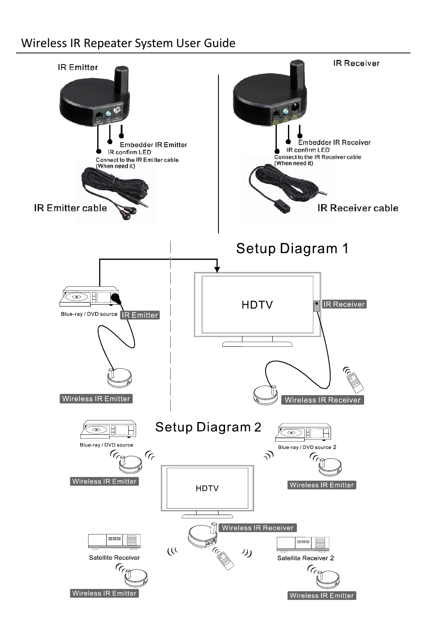# Wireless IR Repeater System User Guide

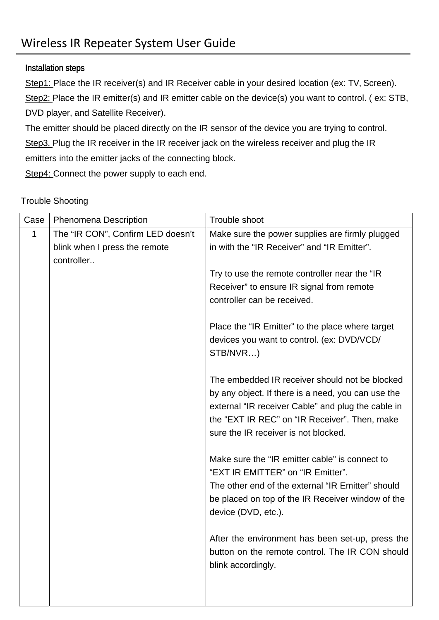### Installation steps

Step1: Place the IR receiver(s) and IR Receiver cable in your desired location (ex: TV, Screen). Step2: Place the IR emitter(s) and IR emitter cable on the device(s) you want to control. ( ex: STB, DVD player, and Satellite Receiver).

The emitter should be placed directly on the IR sensor of the device you are trying to control. Step3. Plug the IR receiver in the IR receiver jack on the wireless receiver and plug the IR emitters into the emitter jacks of the connecting block.

Step4: Connect the power supply to each end.

# Case | Phenomena Description | Trouble shoot 1 The "IR CON", Confirm LED doesn't blink when I press the remote controller.. Make sure the power supplies are firmly plugged in with the "IR Receiver" and "IR Emitter". Try to use the remote controller near the "IR Receiver" to ensure IR signal from remote controller can be received. Place the "IR Emitter" to the place where target devices you want to control. (ex: DVD/VCD/ STB/NVR…) The embedded IR receiver should not be blocked by any object. If there is a need, you can use the external "IR receiver Cable" and plug the cable in the "EXT IR REC" on "IR Receiver". Then, make sure the IR receiver is not blocked. Make sure the "IR emitter cable" is connect to "EXT IR EMITTER" on "IR Emitter". The other end of the external "IR Emitter" should be placed on top of the IR Receiver window of the device (DVD, etc.). After the environment has been set-up, press the button on the remote control. The IR CON should blink accordingly.

#### Trouble Shooting